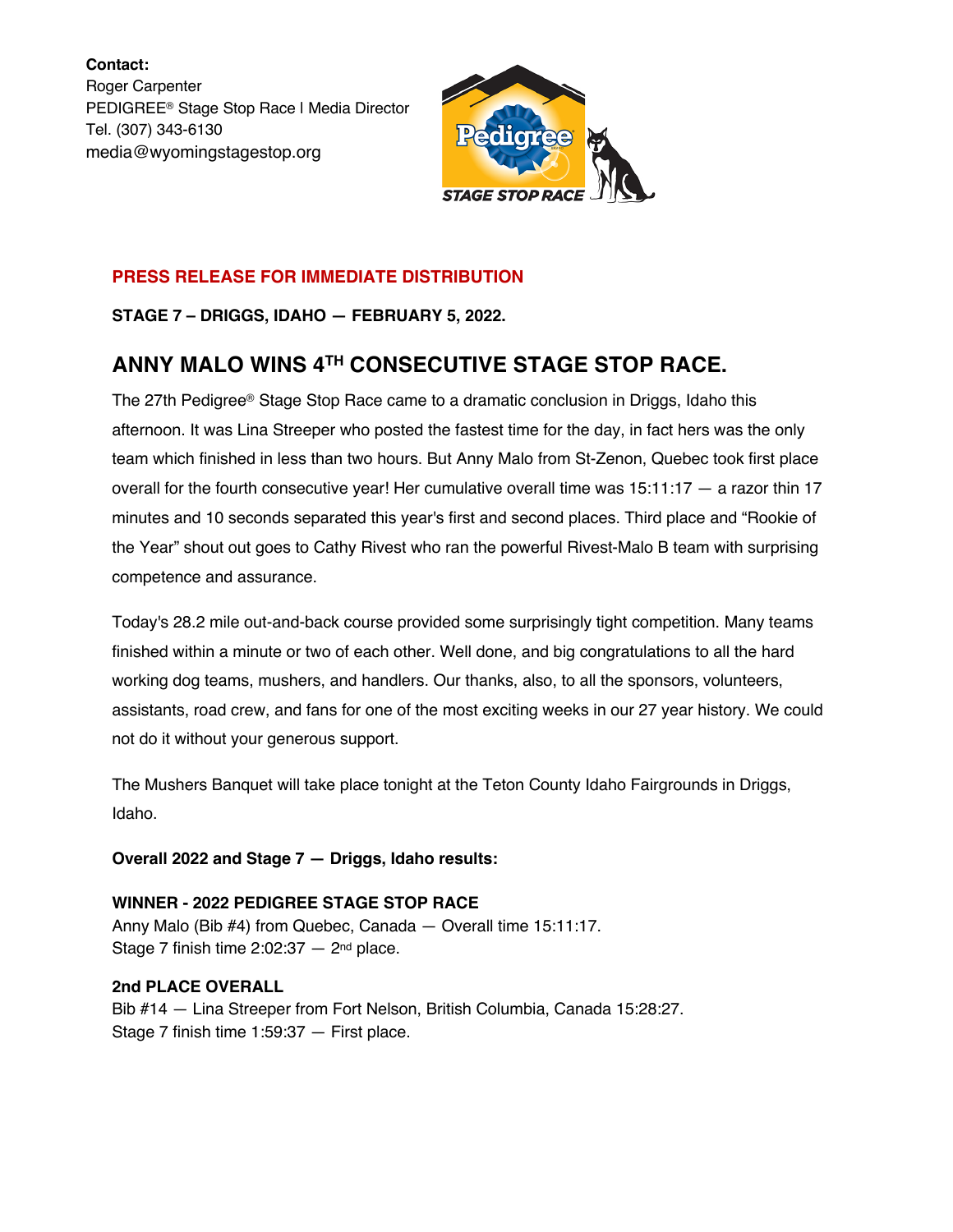**Contact:** Roger Carpenter PEDIGREE® Stage Stop Race | Media Director Tel. (307) 343-6130 media@wyomingstagestop.org



#### **PRESS RELEASE FOR IMMEDIATE DISTRIBUTION** release:

**STAGE 7 – DRIGGS, IDAHO — FEBRUARY 5, 2022.**

# **ANNY MALO WINS 4TH CONSECUTIVE STAGE STOP RACE.**

The 27th Pedigree® Stage Stop Race came to a dramatic conclusion in Driggs, Idaho this afternoon. It was Lina Streeper who posted the fastest time for the day, in fact hers was the only team which finished in less than two hours. But Anny Malo from St-Zenon, Quebec took first place overall for the fourth consecutive year! Her cumulative overall time was 15:11:17 — a razor thin 17 minutes and 10 seconds separated this year's first and second places. Third place and "Rookie of the Year" shout out goes to Cathy Rivest who ran the powerful Rivest-Malo B team with surprising competence and assurance.

Today's 28.2 mile out-and-back course provided some surprisingly tight competition. Many teams finished within a minute or two of each other. Well done, and big congratulations to all the hard working dog teams, mushers, and handlers. Our thanks, also, to all the sponsors, volunteers, assistants, road crew, and fans for one of the most exciting weeks in our 27 year history. We could not do it without your generous support.

The Mushers Banquet will take place tonight at the Teton County Idaho Fairgrounds in Driggs, Idaho.

## **Overall 2022 and Stage 7 — Driggs, Idaho results:**

## **WINNER - 2022 PEDIGREE STAGE STOP RACE**

Anny Malo (Bib #4) from Quebec, Canada — Overall time 15:11:17. Stage 7 finish time  $2:02:37 - 2^{nd}$  place.

## **2nd PLACE OVERALL**

Bib #14 — Lina Streeper from Fort Nelson, British Columbia, Canada 15:28:27. Stage 7 finish time 1:59:37 — First place.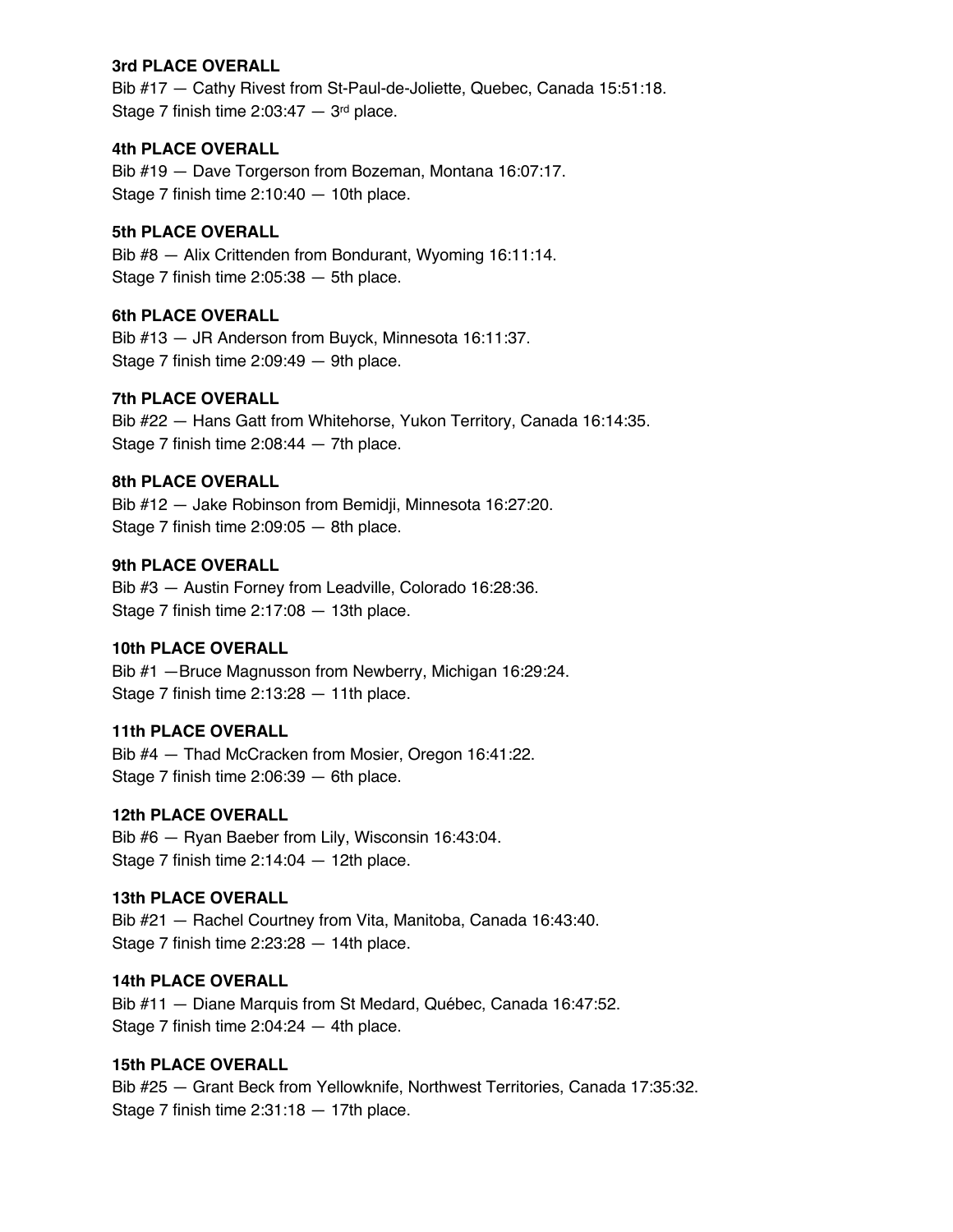#### **3rd PLACE OVERALL**

Bib #17 — Cathy Rivest from St-Paul-de-Joliette, Quebec, Canada 15:51:18. Stage 7 finish time  $2:03:47 - 3<sup>rd</sup>$  place.

## **4th PLACE OVERALL**

Bib #19 — Dave Torgerson from Bozeman, Montana 16:07:17. Stage 7 finish time 2:10:40 — 10th place.

## **5th PLACE OVERALL**

Bib #8 — Alix Crittenden from Bondurant, Wyoming 16:11:14. Stage 7 finish time 2:05:38 — 5th place.

## **6th PLACE OVERALL**

Bib #13 — JR Anderson from Buyck, Minnesota 16:11:37. Stage 7 finish time 2:09:49 — 9th place.

## **7th PLACE OVERALL**

Bib #22 — Hans Gatt from Whitehorse, Yukon Territory, Canada 16:14:35. Stage 7 finish time 2:08:44 — 7th place.

## **8th PLACE OVERALL**

Bib #12 — Jake Robinson from Bemidji, Minnesota 16:27:20. Stage 7 finish time 2:09:05 — 8th place.

## **9th PLACE OVERALL**

Bib #3 — Austin Forney from Leadville, Colorado 16:28:36. Stage 7 finish time 2:17:08 — 13th place.

#### **10th PLACE OVERALL**

Bib #1 —Bruce Magnusson from Newberry, Michigan 16:29:24. Stage 7 finish time 2:13:28 — 11th place.

## **11th PLACE OVERALL**

Bib #4 — Thad McCracken from Mosier, Oregon 16:41:22. Stage 7 finish time 2:06:39 — 6th place.

## **12th PLACE OVERALL**

Bib #6 — Ryan Baeber from Lily, Wisconsin 16:43:04. Stage 7 finish time 2:14:04 — 12th place.

## **13th PLACE OVERALL**

Bib #21 — Rachel Courtney from Vita, Manitoba, Canada 16:43:40. Stage 7 finish time 2:23:28 — 14th place.

#### **14th PLACE OVERALL**

Bib #11 — Diane Marquis from St Medard, Québec, Canada 16:47:52. Stage 7 finish time 2:04:24 — 4th place.

#### **15th PLACE OVERALL**

Bib #25 — Grant Beck from Yellowknife, Northwest Territories, Canada 17:35:32. Stage 7 finish time 2:31:18 — 17th place.